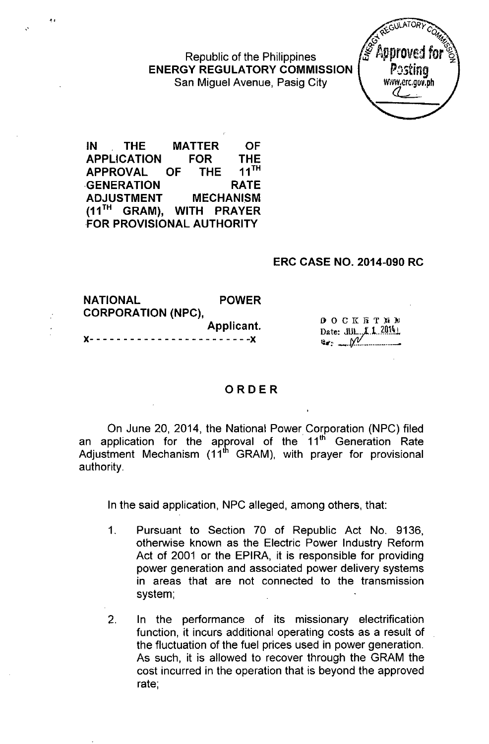Republic of the Philippines ENERGY REGULATORY COMMISSION San Miguel Avenue, Pasig City



IN THE MATTER OF APPLICATION FOR THE<br>APPROVAL OF THE 11TH APPROVAL OF THE GENERATION RATE ADJUSTMENT MECHANISM (11<sup>TH</sup> GRAM), WITH PRAYER FOR PROVISIONAL AUTHORITY

~:

### ERC CASE NO. 2014-090 RC

| <b>NATIONAL</b><br><b>CORPORATION (NPC).</b> | <b>POWER</b> |                   |
|----------------------------------------------|--------------|-------------------|
| Applicant.                                   |              | 000KFRTR          |
|                                              |              | Date: $J/J. 2014$ |

# ORDER

On June 20, 2014, the National Power Corporation (NPC) filed an application for the approval of the 11<sup>th</sup> Generation Rate Adjustment Mechanism  $(11<sup>th</sup>$  GRAM), with prayer for provisional authority.

In the said application, NPC alleged, among others, that:

- 1. Pursuant to Section 70 of Republic Act No. 9136, otherwise known as the Electric Power Industry Reform Act of 2001 or the EPIRA, it is responsible for providing power generation and associated power delivery systems in areas that are not connected to the transmission system;
- 2. In the performance of its missionary electrification function, it incurs additional operating costs as a result of the fluctuation of the fuel prices used in power generation. As such, it is allowed to recover through the GRAM the cost incurred in the operation that is beyond the approved rate;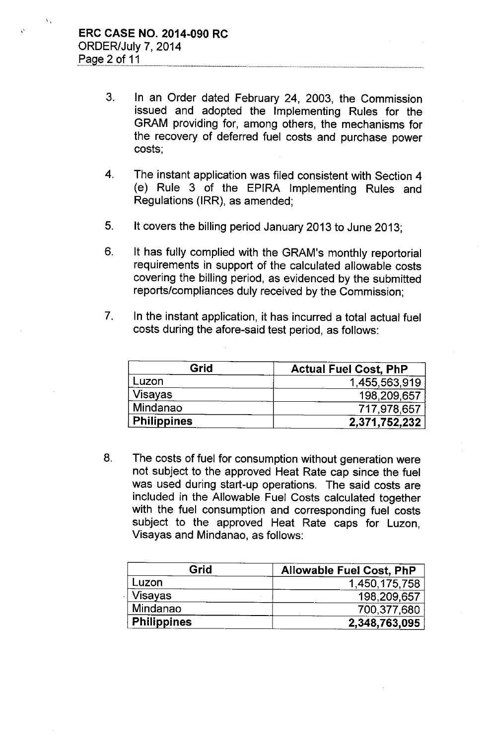$\mathbf{v}_i$ 

- 3. In an Order dated February 24, 2003, the Commission issued and adopted the Implementing Rules for the GRAM providing for, among others, the mechanisms for the recovery of deferred fuel costs and purchase power costs;
- 4. The instant application was filed consistent with Section 4 (e) Rule 3 of the EPIRA Implementing Rules and Regulations (IRR), as amended;
- 5. It covers the billing period January 2013 to June 2013;
- 6. It has fully complied with the GRAM's monthly reportorial requirements in support of the calculated allowable costs covering the billing period, as evidenced by the submitted reports/compliances duly received by the Commission;
- 7. In the instant application, it has incurred a total actual fuel costs during the afore-said test period, as follows:

| Grid               | <b>Actual Fuel Cost, PhP</b> |  |
|--------------------|------------------------------|--|
| Luzon              | 1,455,563,919                |  |
| <b>Visayas</b>     | 198,209,657                  |  |
| Mindanao           | 717,978,657                  |  |
| <b>Philippines</b> | 2,371,752,232                |  |

8. The costs of fuel for consumption without generation were not subject to the approved Heat Rate cap since the fuel was used during start-up operations. The said costs are included in the Allowable Fuel Costs calculated together with the fuel consumption and corresponding fuel costs subject to the approved Heat Rate caps for Luzon, Visayas and Mindanao, as follows:

| Grid               | <b>Allowable Fuel Cost, PhP</b> |
|--------------------|---------------------------------|
| Luzon              | 1,450,175,758                   |
| <b>Visayas</b>     | 198,209,657                     |
| Mindanao           | 700,377,680                     |
| <b>Philippines</b> | 2,348,763,095                   |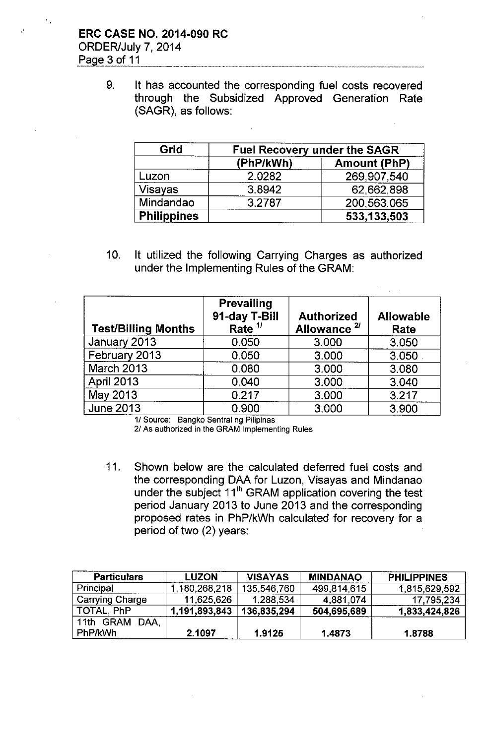## ERC CASE NO. 2014-090 RC ORDER/July 7, 2014 Page 3 of 11

9. It has accounted the corresponding fuel costs recovered through the Subsidized Approved Generation Rate (SAGR), as follows:

| Grid               | <b>Fuel Recovery under the SAGR</b> |                     |  |
|--------------------|-------------------------------------|---------------------|--|
|                    | (PhP/kWh)                           | <b>Amount (PhP)</b> |  |
| Luzon              | 2.0282                              | 269,907,540         |  |
| <b>Visayas</b>     | 3.8942                              | 62,662,898          |  |
| Mindandao          | 3.2787                              | 200,563,065         |  |
| <b>Philippines</b> |                                     | 533,133,503         |  |

10. It utilized the following Carrying Charges as authorized under the Implementing Rules of the GRAM:

| <b>Test/Billing Months</b> | <b>Prevailing</b><br>91-day T-Bill<br>Rate $1/$ | <b>Authorized</b><br>Allowance <sup>2/</sup> | <b>Allowable</b><br>Rate |
|----------------------------|-------------------------------------------------|----------------------------------------------|--------------------------|
| January 2013               | 0.050                                           | 3.000                                        | 3.050                    |
| February 2013              | 0.050                                           | 3.000                                        | 3.050                    |
| <b>March 2013</b>          | 0.080                                           | 3.000                                        | 3.080                    |
| <b>April 2013</b>          | 0.040                                           | 3.000                                        | 3.040                    |
| May 2013                   | 0.217                                           | 3.000                                        | 3.217                    |
| <b>June 2013</b>           | 0.900                                           | 3.000                                        | 3.900                    |

1/ Source: Bangko Sentral ng Pilipinas

2/ As authorized in the GRAM Implementing Rules

11. Shown below are the calculated deferred fuel costs and the corresponding DAA for Luzon, Visayas and Mindanao under the subject 11<sup>th</sup> GRAM application covering the test period January 2013 to June 2013 and the corresponding proposed rates in PhP/kWh calculated for recovery for a period of two (2) years:

| <b>Particulars</b> | <b>LUZON</b>  | <b>VISAYAS</b> | <b>MINDANAO</b> | <b>PHILIPPINES</b> |
|--------------------|---------------|----------------|-----------------|--------------------|
| Principal          | 1,180,268,218 | 135,546,760    | 499,814,615     | 1,815,629,592      |
| Carrying Charge    | 11,625,626    | 1,288,534      | 4,881,074       | 17,795,234         |
| TOTAL, PhP         | 1,191,893,843 | 136,835,294    | 504,695,689     | 1,833,424,826      |
| 11th GRAM DAA.     |               |                |                 |                    |
| PhP/kWh            | 2.1097        | 1.9125         | 1.4873          | 1.8788             |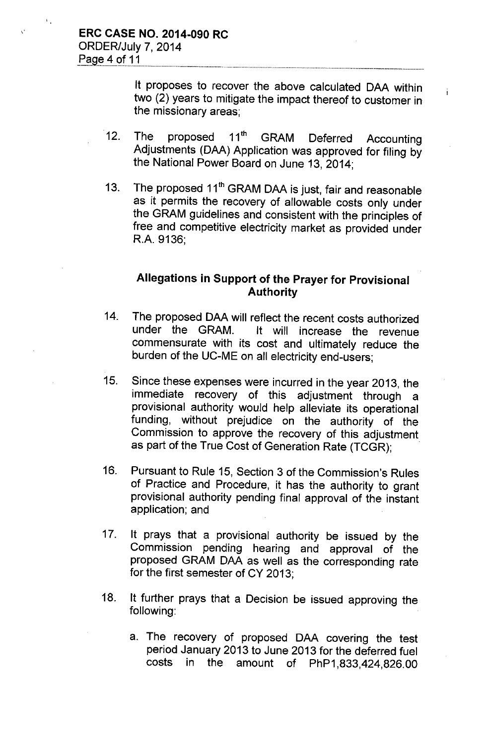It proposes to recover the above calculated DAA within two (2) years to mitigate the impact thereof to customer in the missionary areas;

i.

- 12. The proposed 11<sup>th</sup> GRAM Deferred Accounting Adjustments (DAA) Application was approved for filing by the National Power Board on June 13, 2014;
- 13. The proposed 11<sup>th</sup> GRAM DAA is just, fair and reasonable as it permits the recovery of allowable costs only under the GRAM guidelines and consistent with the principles of free and competitive electricity market as provided under R.A. 9136;

## Allegations in Support of the Prayer for Provisional Authority

- 14. The proposed DAA will reflect the recent costs authorized<br>under the GRAM. It will increase the revenue It will increase the revenue commensurate with its cost and ultimately reduce the burden of the UC-ME on all electricity end-users;
- 15. Since these expenses were incurred in the year 2013, the immediate recovery of this adjustment through a provisional authority would help alleviate its operational funding, without prejudice on the authority of the Commission to approve the recovery of this adjustment as part of the True Cost of Generation Rate (TCGR);
- 16. Pursuant to Rule 15, Section 3 of the Commission's Rules of Practice and Procedure, it has the authority to grant provisional authority pending final approval of the instant application; and
- 17. It prays that a provisional authority be issued by the Commission pending hearing and approval of the proposed GRAM DAA as well as the corresponding rate for the first semester of CY 2013;
- 18. It further prays that a Decision be issued approving the following:
	- a. The recovery of proposed DAA covering the test period January 2013 to June 2013 for the deferred fuel costs in the amount of PhP1,833,424,826.00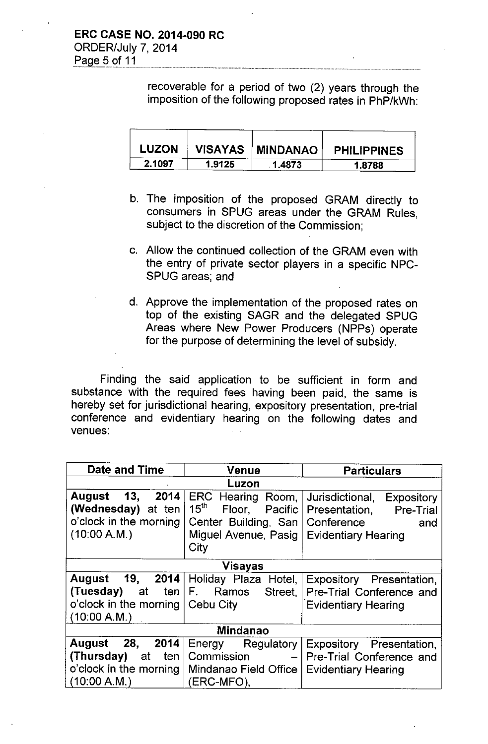recoverable for a period of two (2) years through the imposition of the following proposed rates in PhP/kWh:

| <b>LUZON</b> |        | VISAYAS   MINDANAO | <b>PHILIPPINES</b> |
|--------------|--------|--------------------|--------------------|
| 2.1097       | 1.9125 | 1.4873             | 1.8788             |

- b. The imposition of the proposed GRAM directly to consumers in SPUG areas under the GRAM Rules, subject to the discretion of the Commission;
- c. Allow the continued collection of the GRAM even with the entry of private sector players in a specific NPC-SPUG areas; and
- d. Approve the implementation of the proposed rates on top of the existing SAGR and the delegated SPUG Areas where New Power Producers (NPPs) operate for the purpose of determining the level of subsidy.

Finding the said application to be sufficient in form and substance with the required fees having been paid, the same is hereby set for jurisdictional hearing, expository presentation, pre-trial conference and evidentiary hearing on the following dates and venues:

| Date and Time                                   | <b>Venue</b>                           | <b>Particulars</b>                   |  |  |
|-------------------------------------------------|----------------------------------------|--------------------------------------|--|--|
| Luzon                                           |                                        |                                      |  |  |
| 13,<br>2014<br><b>August</b>                    | ERC Hearing Room,                      | Jurisdictional,<br><b>Expository</b> |  |  |
| (Wednesday) at ten                              | $15^{\text{th}}$<br>Floor,<br>Pacific  | Presentation, Pre-Trial              |  |  |
| o'clock in the morning                          | Center Building, San                   | Conference<br>and                    |  |  |
| (10:00 A.M.)                                    | Miguel Avenue, Pasig                   | <b>Evidentiary Hearing</b>           |  |  |
|                                                 | City                                   |                                      |  |  |
|                                                 | <b>Visayas</b>                         |                                      |  |  |
| 19,<br>August                                   | 2014 Holiday Plaza Hotel,              | Expository Presentation,             |  |  |
| (Tuesday)<br>at ten                             | F. Ramos<br>Street,                    | Pre-Trial Conference and             |  |  |
| o'clock in the morning                          | l Cebu Citv                            | <b>Evidentiary Hearing</b>           |  |  |
| (10.00 A.M.)                                    |                                        |                                      |  |  |
| <b>Mindanao</b>                                 |                                        |                                      |  |  |
| 28,<br>2014<br>August                           | Energy Regulatory                      | Expository Presentation,             |  |  |
| (Thursday)<br>ten<br>at                         | Commission<br>$\overline{\phantom{0}}$ | Pre-Trial Conference and             |  |  |
| o'clock in the morning<br>Mindanao Field Office |                                        | <b>Evidentiary Hearing</b>           |  |  |
| (10.00 A.M.)                                    | (ERC-MFO),                             |                                      |  |  |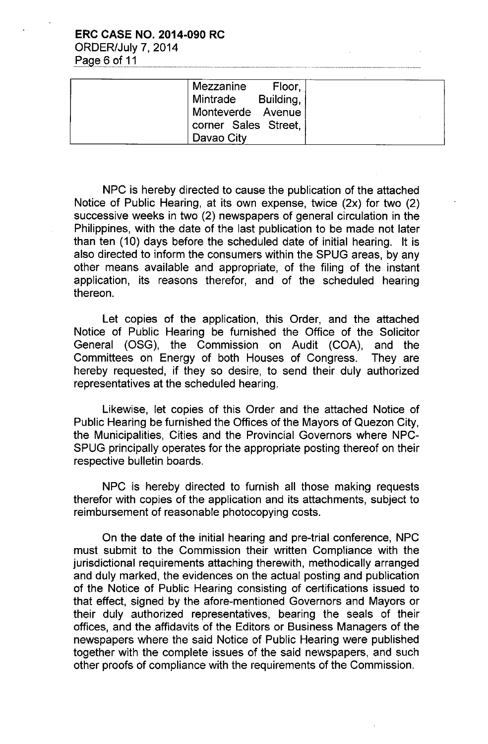### **ERC CASE NO. 2014-090 RC** ORDER/July 7, 2014 Page 6 of 11

Mezzanine Floor, Mintrade Building, Monteverde Avenue corner Sales Street, Davao City

NPC is hereby directed to cause the publication of the attached Notice of Public Hearing, at its own expense, twice (2x) for two (2) successive weeks in two (2) newspapers of general circulation in the Philippines, with the date of the last publication to be made not later than ten (10) days before the scheduled date of initial hearing. It is also directed to inform the consumers within the SPUG areas, by any other means available and appropriate, of the filing of the instant application, its reasons therefor, and of the scheduled hearing thereon.

Let copies of the application, this Order, and the attached Notice of Public Hearing be furnished the Office of the Solicitor General (OSG), the Commission on Audit (COA), and the Committees on Energy of both Houses of Congress. They are hereby requested, if they so desire, to send their duly authorized representatives at the scheduled hearing.

Likewise, let copies of this Order and the attached Notice of Public Hearing be furnished the Offices of the Mayors of Quezon City, the Municipalities, Cities and the Provincial Governors where NPC-SPUG principally operates for the appropriate posting thereof on their respective bulletin boards.

NPC is hereby directed to furnish all those making requests therefor with copies of the application and its attachments, subject to reimbursement of reasonable photocopying costs.

On the date of the initial hearing and pre-trial conference, NPC must submit to the Commission their written Compliance with the jurisdictional requirements attaching therewith, methodically arranged and duly marked, the evidences on the actual posting and publication of the Notice of Public Hearing consisting of certifications issued to that effect, signed by the afore-mentioned Governors and Mayors or their duly authorized representatives, bearing the seals of their offices, and the affidavits of the Editors or Business Managers of the newspapers where the said Notice of Public Hearing were published together with the complete issues of the said newspapers, and such other proofs of compliance with the requirements of the Commission.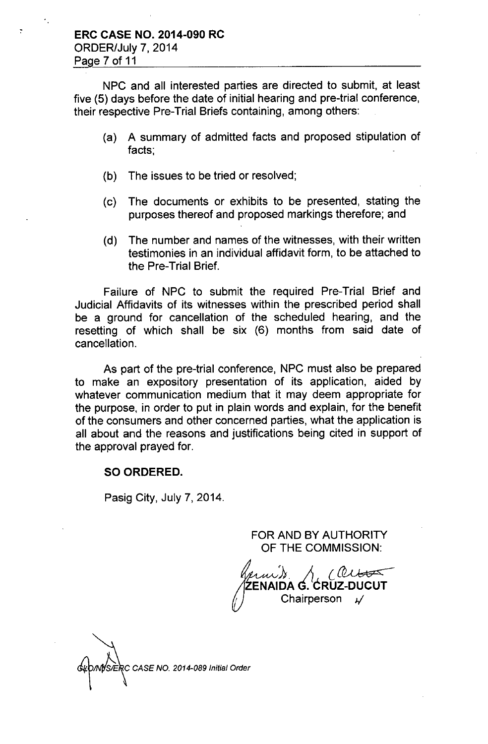NPC and all interested parties are directed to submit, at least five (5) days before the date of initial hearing and pre-trial conference, their respective Pre-Trial Briefs containing, among others:

- (a) A summary of admitted facts and proposed stipulation of facts;
- (b) The issues to be tried or resolved;
- (c) The documents or exhibits to be presented, stating the purposes thereof and proposed markings therefore; and
- (d) The number and names of the witnesses, with their written testimonies in an individual affidavit form, to be attached to the Pre-Trial Brief.

Failure of NPC to submit the required Pre-Trial Brief and Judicial Affidavits of its witnesses within the prescribed period shall be a ground for cancellation of the scheduled hearing, and the resetting of which shall be six (6) months from said date of cancellation.

As part of the pre-trial conference, NPC must also be prepared to make an expository presentation of its application, aided by whatever communication medium that it may deem appropriate for the purpose, in order to put in plain words and explain, for the benefit of the consumers and other concerned parties, what the application is all about and the reasons and justifications being cited in support of the approval prayed for.

### SO ORDERED.

Pasig City, July 7, 2014.

FOR AND BY AUTHORITY OF THE COMMISSION:

1<sub>1</sub> (CO) ENAIDA G. CRUZ-DUCU Chairperson *J/*

NSERC CASE NO. 2014-089 Initial Order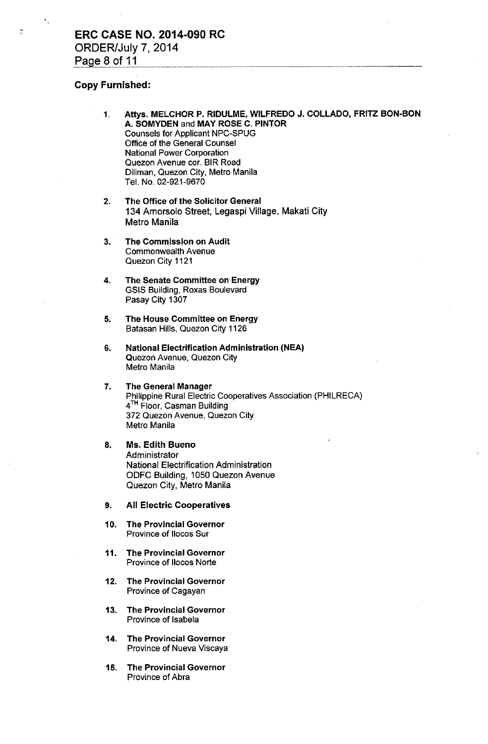#### Copy Furnished:

÷.

- 1. Attys. MELCHOR P. RIDULME, WILFREDO J. COLLADO, FRITZ BON.BON A. SOMYDEN and MAY ROSE C. PINTOR Counsels for Applicant NPC-SPUG Office of the General Counsel National Power Corporation Quezon Avenue cor. BIR Road Diliman. Quezon City, Metro Manila Tel. No. 02-921-9670
- 2. The Office of the Solicitor General 134 Amorsolo Street, Legaspi Village, Makati City Metro Manila
- 3. The Commission on Audit Commonwealth Avenue Quezon City 1121
- 4. The Senate Committee on Energy GSIS Building, Roxas Boulevard Pasay City 1307
- 5. The House Committee on Energy Batasan Hills, Quezon City 1126
- 6. National Electrification Administration (NEAl Quezon Avenue, Quezon City Metro Manila
- 7. The General Manager Philippine Rural Electric Cooperatives Association (PHILRECA) 4<sup>TH</sup> Floor, Casman Building 372 Quezon Avenue, Quezon City Metro Manila
- 8. Ms. Edith Bueno **Administrator** National Electrification Administration ODFC Building, 1050 Quezon Avenue Quezon City, Metro Manila
- 9. All Electric Cooperatives
- 10. The Provincial Governor Province of Ilocos Sur
- 11. The Provincial Governor Province of Ilocos Norte
- 12. The Provincial Governor Province of Cagayan
- 13. The Provincial Governor Province of Isabela
- 14. The Provincial Governor Province of Nueva Viscaya
- 15. The Provincial Governor Province of Abra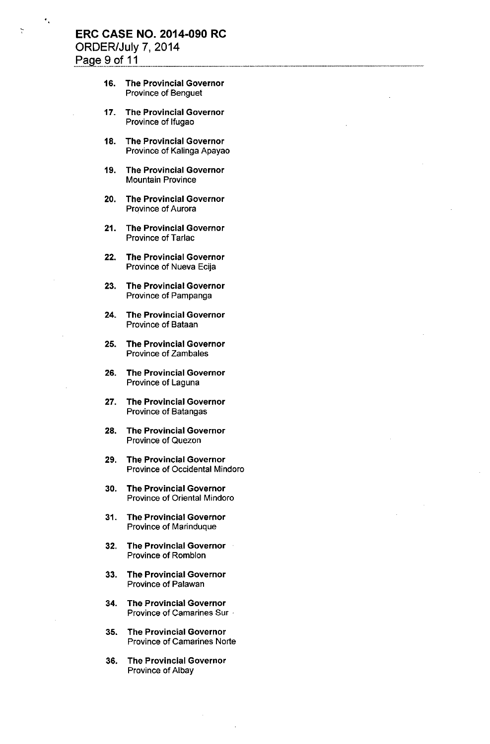## **ERC CASE NO. 2014-090 RC** ORDER/July 7, 2014 Page 9 of 11

÷

- 16. The Provincial Governor Province of Benguet
- 17. The Provincial Governor Province of Ifugao
- 18. The Provincial Governor Province of Kalinga Apayao
- 19. The Provincial Governor Mountain Province
- 20. The Provincial Governor Province of Aurora
- 21. The Provincial Governor Province of Tarlac
- 22. The Provincial Governor Province of Nueva Ecija
- 23. The Provincial Governor Province of Pampanga
- 24. The Provincial Governor Province of Bataan
- 25. The Provincial Governor Province of Zambales
- 26. The Provincial Governor Province of Laguna
- 27. The Provincial Governor Province of Batangas
- 28. The Provincial Governor Province of Quezon
- 29. The Provincial Governor Province of Occidental Mindoro
- 30. The Provincial Governor Province of Oriental Mindoro
- 31. The Provincial Governor Province of Marinduque
- 32. The Provincial Governor Province of Romblon
- 33. The Provincial Governor Province of Palawan
- 34. The Provincial Governor Province of Camarines Sur -
- 35. The Provincial Governor Province of Camarines Norte
- 36. The Provincial Governor Province of Albay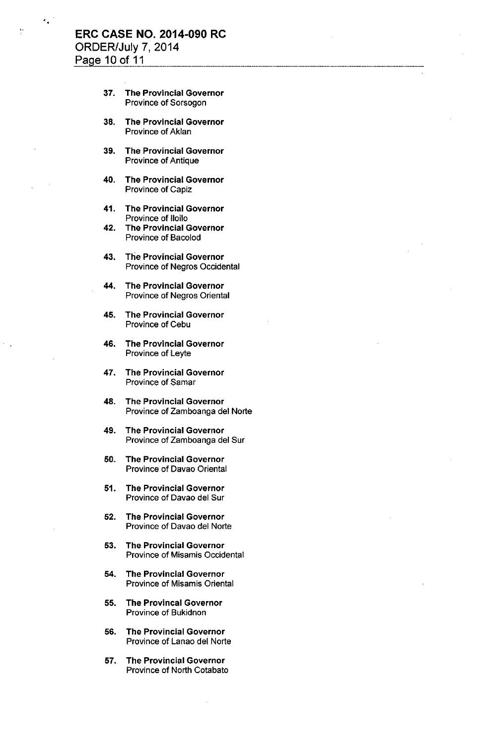### ERC CASE NO. 2014-090 RC ORDER/July 7, 2014 Page 10 of 11

- 37. The Provincial Governor Province of Sorsogon
- 38. The Provincial Governor Province of Aklan
- 39. The Provincial Governor Province of Antique
- 40. The Provincial Governor Province of Capiz
- 41. The Provincial Governor Province of Iloilo
- 42. The Provincial Governor Province of Bacolod
- 43. The Provincial Governor Province of Negros Occidental
- 44. The Provincial Governor Province of Negros Oriental
- 45. The Provincial Governor Province of Cebu
- 46. The Provincial Governor Province of Leyte
- 47. The Provincial Governor Province of Samar
- 48. The Provincial Governor Province of Zamboanga del Norte
- 49. The Provincial Governor Province of Zamboanga del Sur
- 50. The Provincial Governor Province of Davao Oriental
- 51. The Provincial Governor Province of Davao del Sur
- 52. The Provincial Governor Province of Davao del Norte
- 53. The Provincial Governor Province of Misamis Occidental
- 54. The Provincial Governor Province of Misamis Oriental
- 55. The Provincal Governor Province of Bukidnon
- 56. The Provincial Governor Province of Lanao del Norte
- 57. The Provincial Governor Province of North Cotabato